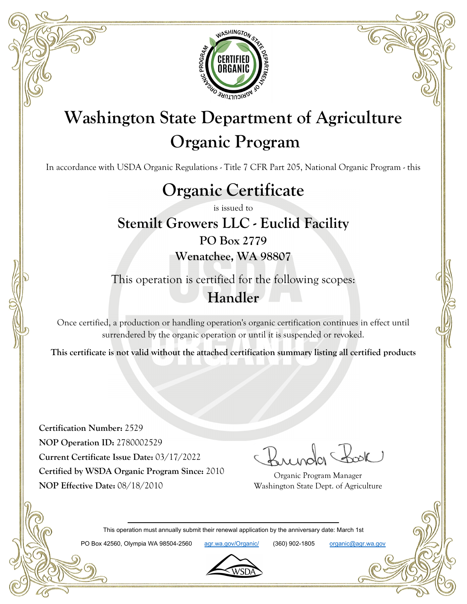

# **Washington State Department of Agriculture Organic Program**

In accordance with USDA Organic Regulations - Title 7 CFR Part 205, National Organic Program - this

# **Organic Certificate**

is issued to

### **Stemilt Growers LLC - Euclid Facility PO Box 2779**

**Wenatchee, WA 98807**

This operation is certified for the following scopes: **Handler**

Once certified, a production or handling operation's organic certification continues in effect until surrendered by the organic operation or until it is suspended or revoked.

**This certificate is not valid without the attached certification summary listing all certified products**

**Certification Number:** 2529 **NOP Operation ID:** 2780002529 **Current Certificate Issue Date:** 03/17/2022 **Certified by WSDA Organic Program Since:** 2010 **NOP Effective Date:** 08/18/2010

Organic Program Manager Washington State Dept. of Agriculture

This operation must annually submit their renewal application by the anniversary date: March 1st

PO Box 42560, Olympia WA 98504-2560 agr.wa.gov/Organic/ (360) 902-1805 organic@agr.wa.gov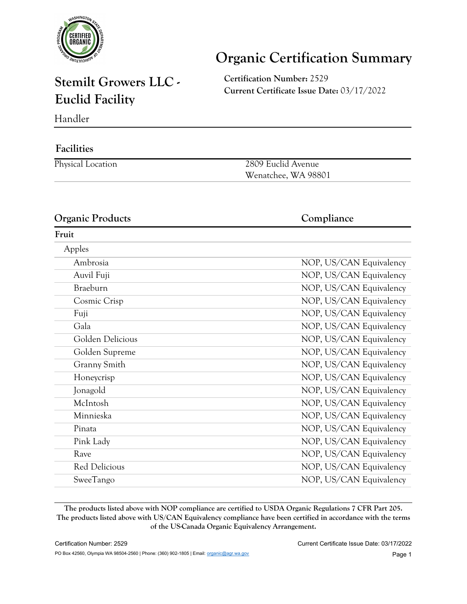

# **Organic Certification Summary**

### **Stemilt Growers LLC - Euclid Facility**

**Certification Number:** 2529 **Current Certificate Issue Date:** 03/17/2022

Handler

#### **Facilities**

| Physical Location | 2809 Euclid Avenue  |
|-------------------|---------------------|
|                   | Wenatchee, WA 98801 |

#### **Organic Products Compliance**

### **Fruit** Apples Ambrosia NOP, US/CAN Equivalency Auvil Fuji **NOP, US/CAN Equivalency** Braeburn NOP, US/CAN Equivalency Cosmic Crisp NOP, US/CAN Equivalency Fuji NOP, US/CAN Equivalency Gala Gala NOP, US/CAN Equivalency Golden Delicious NOP, US/CAN Equivalency Golden Supreme NOP, US/CAN Equivalency Granny Smith NOP, US/CAN Equivalency Honeycrisp NOP, US/CAN Equivalency Jonagold NOP, US/CAN Equivalency McIntosh NOP, US/CAN Equivalency Minnieska NOP, US/CAN Equivalency Pinata NOP, US/CAN Equivalency Pink Lady NOP, US/CAN Equivalency Rave NOP, US/CAN Equivalency Red Delicious NOP, US/CAN Equivalency SweeTango NOP, US/CAN Equivalency

**The products listed above with NOP compliance are certified to USDA Organic Regulations 7 CFR Part 205. The products listed above with US/CAN Equivalency compliance have been certified in accordance with the terms of the US-Canada Organic Equivalency Arrangement.**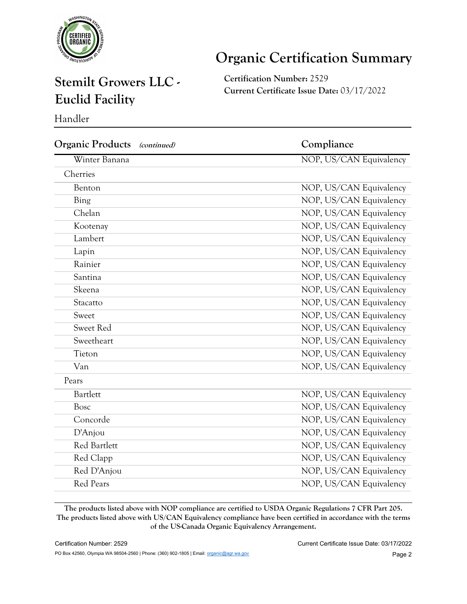

# **Organic Certification Summary**

### **Stemilt Growers LLC - Euclid Facility**

**Certification Number:** 2529 **Current Certificate Issue Date:** 03/17/2022

Handler

| Compliance              |
|-------------------------|
| NOP, US/CAN Equivalency |
|                         |
| NOP, US/CAN Equivalency |
| NOP, US/CAN Equivalency |
| NOP, US/CAN Equivalency |
| NOP, US/CAN Equivalency |
| NOP, US/CAN Equivalency |
| NOP, US/CAN Equivalency |
| NOP, US/CAN Equivalency |
| NOP, US/CAN Equivalency |
| NOP, US/CAN Equivalency |
| NOP, US/CAN Equivalency |
| NOP, US/CAN Equivalency |
| NOP, US/CAN Equivalency |
| NOP, US/CAN Equivalency |
| NOP, US/CAN Equivalency |
| NOP, US/CAN Equivalency |
|                         |
| NOP, US/CAN Equivalency |
| NOP, US/CAN Equivalency |
| NOP, US/CAN Equivalency |
| NOP, US/CAN Equivalency |
| NOP, US/CAN Equivalency |
| NOP, US/CAN Equivalency |
| NOP, US/CAN Equivalency |
| NOP, US/CAN Equivalency |
|                         |

**The products listed above with NOP compliance are certified to USDA Organic Regulations 7 CFR Part 205. The products listed above with US/CAN Equivalency compliance have been certified in accordance with the terms of the US-Canada Organic Equivalency Arrangement.**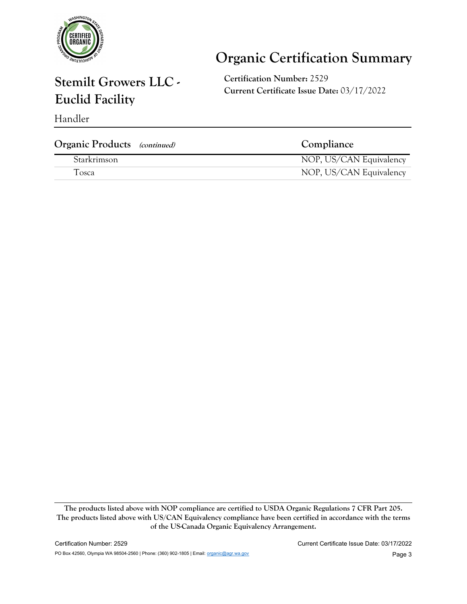

# **Organic Certification Summary**

## **Stemilt Growers LLC - Euclid Facility**

**Certification Number:** 2529 **Current Certificate Issue Date:** 03/17/2022

| Handler |  |
|---------|--|
|---------|--|

| <b>Organic Products</b> (continued) | Compliance              |
|-------------------------------------|-------------------------|
| Starkrimson                         | NOP, US/CAN Equivalency |
| Tosca                               | NOP, US/CAN Equivalency |
|                                     |                         |

**The products listed above with NOP compliance are certified to USDA Organic Regulations 7 CFR Part 205. The products listed above with US/CAN Equivalency compliance have been certified in accordance with the terms of the US-Canada Organic Equivalency Arrangement.**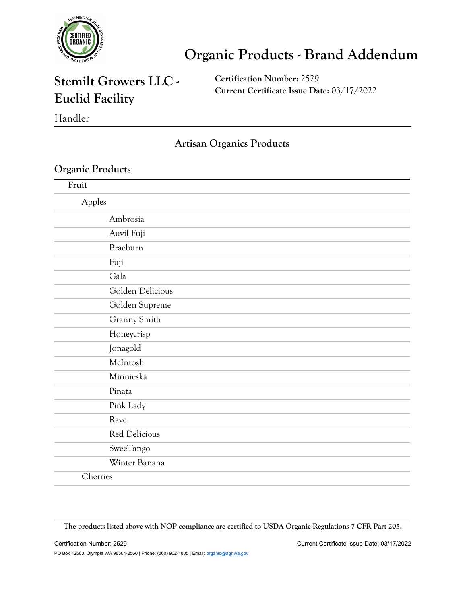

### **Stemilt Growers LLC - Euclid Facility**

**Certification Number:** 2529 **Current Certificate Issue Date:** 03/17/2022

Handler

#### **Artisan Organics Products**

#### **Organic Products**

| Fruit            |
|------------------|
| Apples           |
| Ambrosia         |
| Auvil Fuji       |
| Braeburn         |
| Fuji             |
| Gala             |
| Golden Delicious |
| Golden Supreme   |
| Granny Smith     |
| Honeycrisp       |
| Jonagold         |
| McIntosh         |
| Minnieska        |
| Pinata           |
| Pink Lady        |
| Rave             |
| Red Delicious    |
| SweeTango        |
| Winter Banana    |
| Cherries         |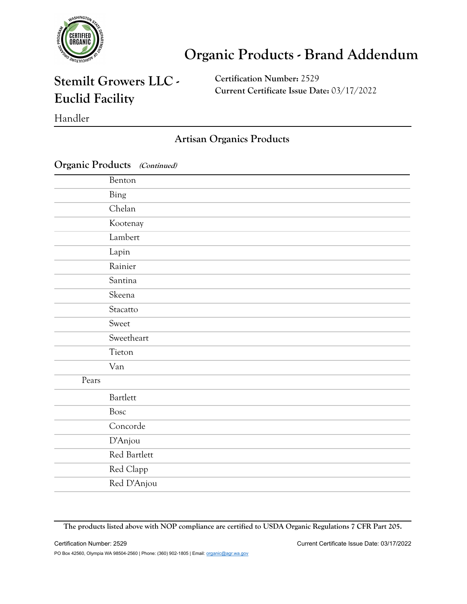

### **Stemilt Growers LLC - Euclid Facility**

**Certification Number:** 2529 **Current Certificate Issue Date:** 03/17/2022

Handler

#### **Artisan Organics Products**

|       | $\bigcup$ ganic i routicts ( <i>continuea</i> ) |
|-------|-------------------------------------------------|
|       | Benton                                          |
|       | Bing                                            |
|       | Chelan                                          |
|       | Kootenay                                        |
|       | Lambert                                         |
|       | Lapin                                           |
|       | Rainier                                         |
|       | Santina                                         |
|       | Skeena                                          |
|       | Stacatto                                        |
|       | Sweet                                           |
|       | Sweetheart                                      |
|       | Tieton                                          |
|       | Van                                             |
| Pears |                                                 |
|       | Bartlett                                        |
|       | Bosc                                            |
|       | Concorde                                        |
|       | D'Anjou                                         |
|       | Red Bartlett                                    |
|       | Red Clapp                                       |
|       | Red D'Anjou                                     |

**Organic Products (Continued)**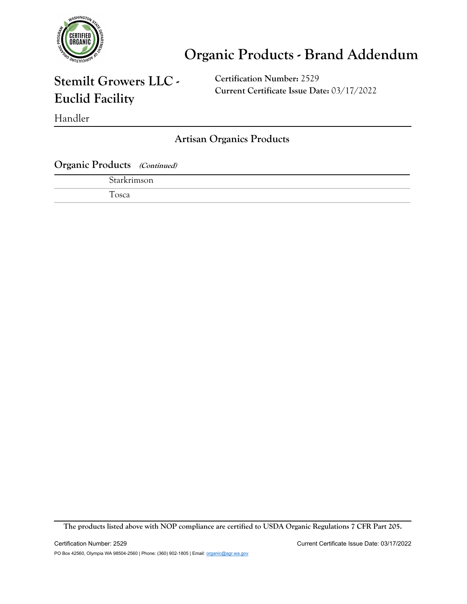

### **Stemilt Growers LLC - Euclid Facility**

**Certification Number:** 2529 **Current Certificate Issue Date:** 03/17/2022

Handler

**Artisan Organics Products**

**Organic Products (Continued)**

| $\star$ torkrim<br>son |  |  |
|------------------------|--|--|
| —<br>osca              |  |  |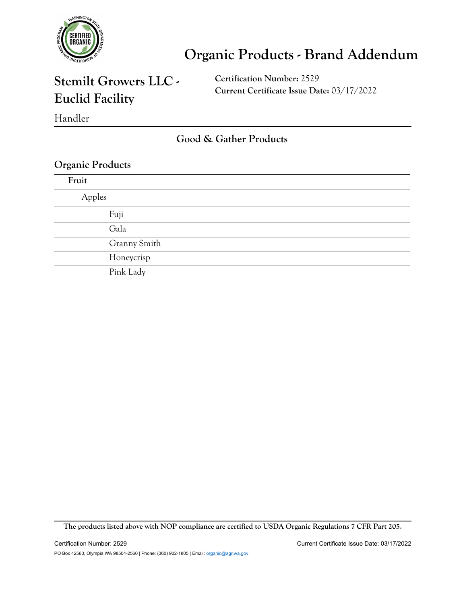

### **Stemilt Growers LLC - Euclid Facility**

**Certification Number:** 2529 **Current Certificate Issue Date:** 03/17/2022

Handler

**Good & Gather Products**

#### **Organic Products**

| Fruit  |              |
|--------|--------------|
| Apples |              |
|        | Fuji         |
|        | Gala         |
|        | Granny Smith |
|        | Honeycrisp   |
|        | Pink Lady    |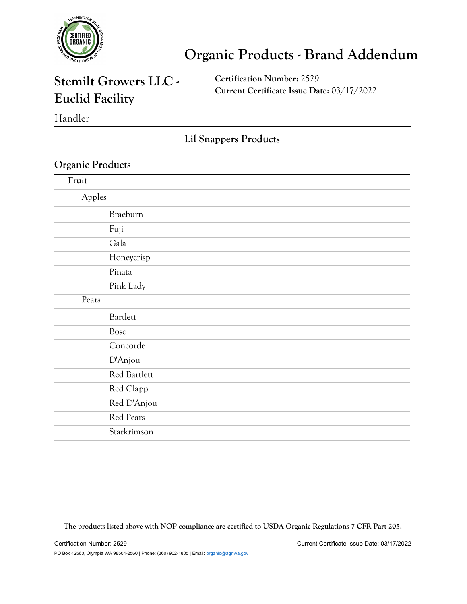

### **Stemilt Growers LLC - Euclid Facility**

**Certification Number:** 2529 **Current Certificate Issue Date:** 03/17/2022

Handler

**Lil Snappers Products**

#### **Organic Products**

| Fruit  |              |
|--------|--------------|
| Apples |              |
|        | Braeburn     |
|        | Fuji         |
|        | Gala         |
|        | Honeycrisp   |
|        | Pinata       |
|        | Pink Lady    |
| Pears  |              |
|        | Bartlett     |
|        | Bosc         |
|        | Concorde     |
|        | D'Anjou      |
|        | Red Bartlett |
|        | Red Clapp    |
|        | Red D'Anjou  |
|        | Red Pears    |
|        | Starkrimson  |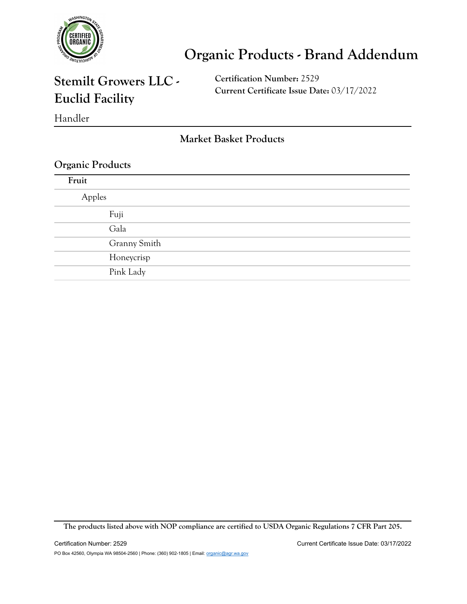

### **Stemilt Growers LLC - Euclid Facility**

**Certification Number:** 2529 **Current Certificate Issue Date:** 03/17/2022

Handler

**Market Basket Products**

#### **Organic Products**

| Fruit  |              |
|--------|--------------|
| Apples |              |
|        | Fuji         |
|        | Gala         |
|        | Granny Smith |
|        | Honeycrisp   |
|        | Pink Lady    |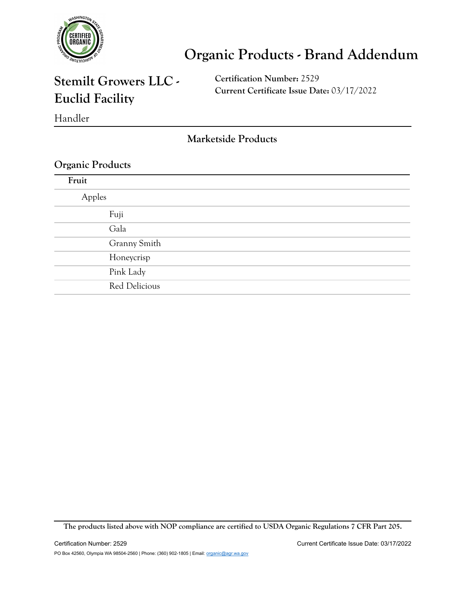

### **Stemilt Growers LLC - Euclid Facility**

**Certification Number:** 2529 **Current Certificate Issue Date:** 03/17/2022

Handler

**Marketside Products**

#### **Organic Products**

| Fruit  |               |
|--------|---------------|
| Apples |               |
|        | Fuji          |
|        | Gala          |
|        | Granny Smith  |
|        | Honeycrisp    |
|        | Pink Lady     |
|        | Red Delicious |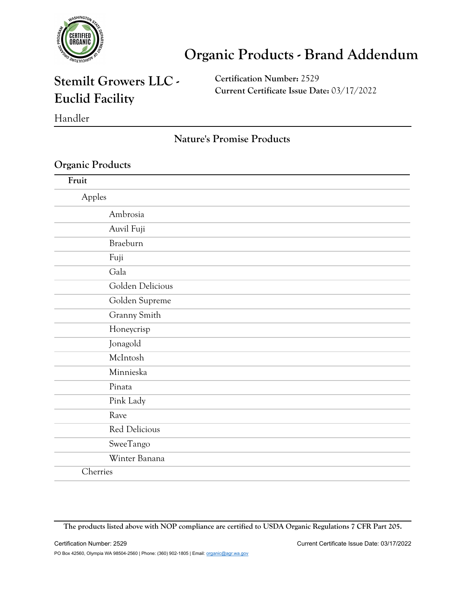

### **Stemilt Growers LLC - Euclid Facility**

**Certification Number:** 2529 **Current Certificate Issue Date:** 03/17/2022

Handler

#### **Nature's Promise Products**

#### **Organic Products**

| Fruit            |  |
|------------------|--|
| Apples           |  |
| Ambrosia         |  |
| Auvil Fuji       |  |
| Braeburn         |  |
| Fuji             |  |
| Gala             |  |
| Golden Delicious |  |
| Golden Supreme   |  |
| Granny Smith     |  |
| Honeycrisp       |  |
| Jonagold         |  |
| McIntosh         |  |
| Minnieska        |  |
| Pinata           |  |
| Pink Lady        |  |
| Rave             |  |
| Red Delicious    |  |
| SweeTango        |  |
| Winter Banana    |  |
| Cherries         |  |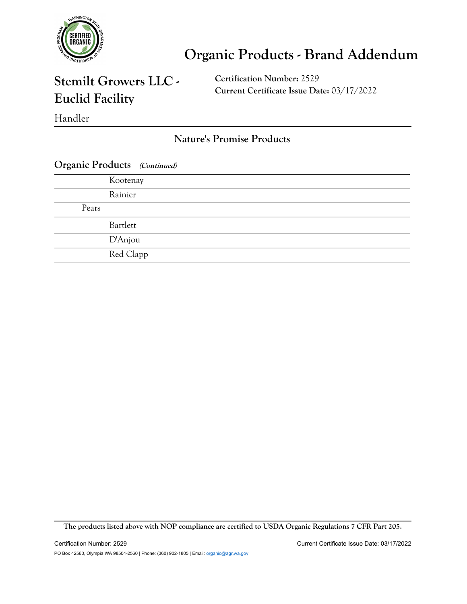

### **Stemilt Growers LLC - Euclid Facility**

**Certification Number:** 2529 **Current Certificate Issue Date:** 03/17/2022

Handler

**Nature's Promise Products**

|  | <b>Organic Products</b> (Continued) |  |
|--|-------------------------------------|--|
|--|-------------------------------------|--|

|       | Kootenay  |
|-------|-----------|
|       | Rainier   |
| Pears |           |
|       | Bartlett  |
|       | D'Anjou   |
|       | Red Clapp |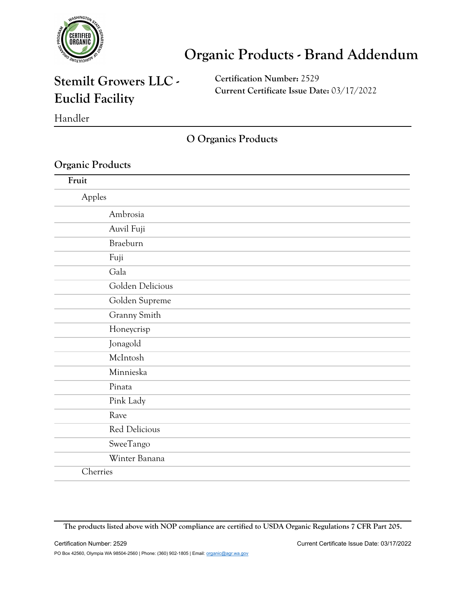

### **Stemilt Growers LLC - Euclid Facility**

**Certification Number:** 2529 **Current Certificate Issue Date:** 03/17/2022

Handler

**O Organics Products**

#### **Organic Products**

| Fruit            |  |
|------------------|--|
| Apples           |  |
| Ambrosia         |  |
| Auvil Fuji       |  |
| Braeburn         |  |
| Fuji             |  |
| Gala             |  |
| Golden Delicious |  |
| Golden Supreme   |  |
| Granny Smith     |  |
| Honeycrisp       |  |
| Jonagold         |  |
| McIntosh         |  |
| Minnieska        |  |
| Pinata           |  |
| Pink Lady        |  |
| Rave             |  |
| Red Delicious    |  |
| SweeTango        |  |
| Winter Banana    |  |
| Cherries         |  |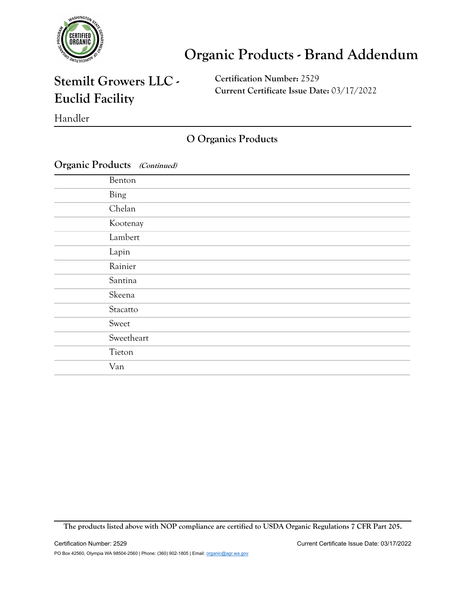

### **Stemilt Growers LLC - Euclid Facility**

**Certification Number:** 2529 **Current Certificate Issue Date:** 03/17/2022

Handler

### **O Organics Products**

| Organic Products (Continued) |  |
|------------------------------|--|
|------------------------------|--|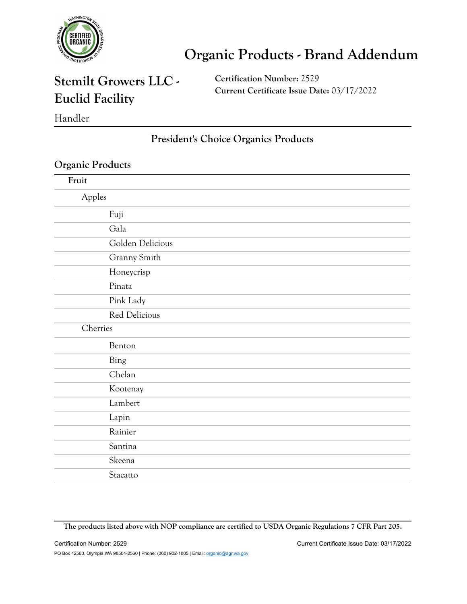

### **Stemilt Growers LLC - Euclid Facility**

**Certification Number:** 2529 **Current Certificate Issue Date:** 03/17/2022

Handler

#### **President's Choice Organics Products**

#### **Organic Products**

| Fruit    |                  |
|----------|------------------|
| Apples   |                  |
|          | Fuji             |
|          | Gala             |
|          | Golden Delicious |
|          | Granny Smith     |
|          | Honeycrisp       |
|          | Pinata           |
|          | Pink Lady        |
|          | Red Delicious    |
| Cherries |                  |
|          | Benton           |
|          | Bing             |
|          | Chelan           |
|          | Kootenay         |
|          | Lambert          |
|          | Lapin            |
|          | Rainier          |
|          | Santina          |
|          | Skeena           |
|          | Stacatto         |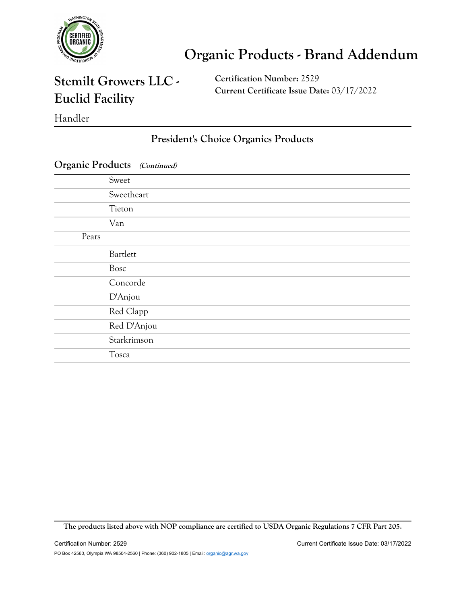

### **Stemilt Growers LLC - Euclid Facility**

**Certification Number:** 2529 **Current Certificate Issue Date:** 03/17/2022

Handler

### **President's Choice Organics Products**

|       | Sweet       |
|-------|-------------|
|       | Sweetheart  |
|       | Tieton      |
|       | Van         |
| Pears |             |
|       | Bartlett    |
|       | Bosc        |
|       | Concorde    |
|       | D'Anjou     |
|       | Red Clapp   |
|       | Red D'Anjou |
|       | Starkrimson |
|       | Tosca       |

#### **Organic Products (Continued)**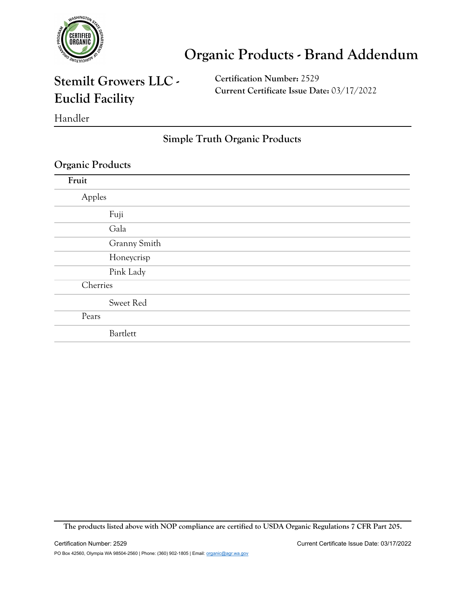

### **Stemilt Growers LLC - Euclid Facility**

**Certification Number:** 2529 **Current Certificate Issue Date:** 03/17/2022

Handler

#### **Simple Truth Organic Products**

#### **Organic Products**

| Fruit    |              |
|----------|--------------|
| Apples   |              |
|          | Fuji         |
|          | Gala         |
|          | Granny Smith |
|          | Honeycrisp   |
|          | Pink Lady    |
| Cherries |              |
|          | Sweet Red    |
| Pears    |              |
|          | Bartlett     |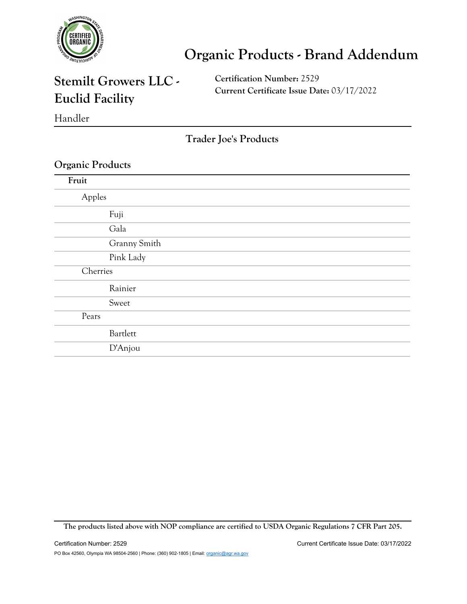

### **Stemilt Growers LLC - Euclid Facility**

**Certification Number:** 2529 **Current Certificate Issue Date:** 03/17/2022

Handler

**Trader Joe's Products**

#### **Organic Products**

| Fruit    |              |
|----------|--------------|
| Apples   |              |
|          | Fuji         |
|          | Gala         |
|          | Granny Smith |
|          | Pink Lady    |
| Cherries |              |
|          | Rainier      |
|          | Sweet        |
| Pears    |              |
|          | Bartlett     |
|          | D'Anjou      |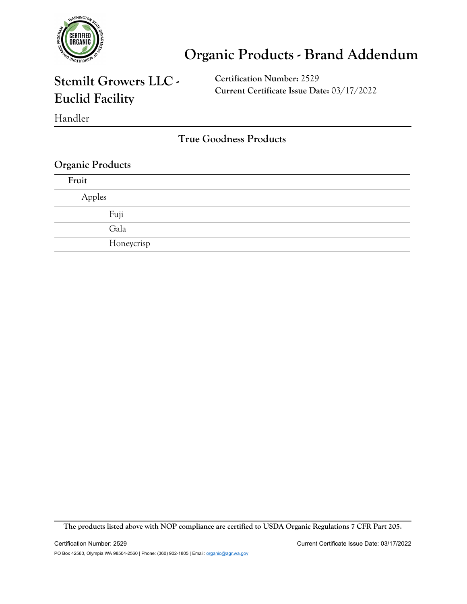

### **Stemilt Growers LLC - Euclid Facility**

**Certification Number:** 2529 **Current Certificate Issue Date:** 03/17/2022

Handler

**True Goodness Products**

#### **Organic Products**

| Fruit  |            |
|--------|------------|
| Apples |            |
| Fuji   |            |
| Gala   |            |
|        | Honeycrisp |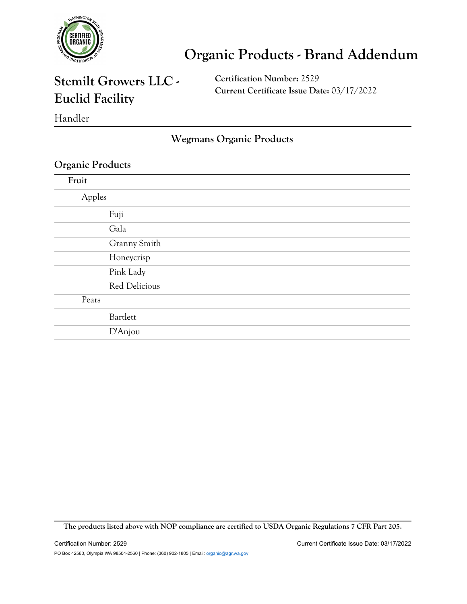

### **Stemilt Growers LLC - Euclid Facility**

**Certification Number:** 2529 **Current Certificate Issue Date:** 03/17/2022

Handler

**Wegmans Organic Products**

#### **Organic Products**

| Fruit  |               |
|--------|---------------|
| Apples |               |
|        | Fuji          |
|        | Gala          |
|        | Granny Smith  |
|        | Honeycrisp    |
|        | Pink Lady     |
|        | Red Delicious |
| Pears  |               |
|        | Bartlett      |
|        | D'Anjou       |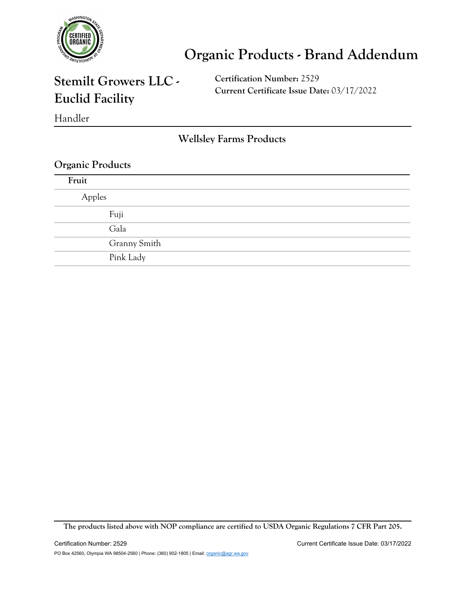

### **Stemilt Growers LLC - Euclid Facility**

**Certification Number:** 2529 **Current Certificate Issue Date:** 03/17/2022

Handler

**Wellsley Farms Products**

#### **Organic Products**

| Fruit  |              |
|--------|--------------|
| Apples |              |
| Fuji   |              |
| Gala   |              |
|        | Granny Smith |
|        | Pink Lady    |